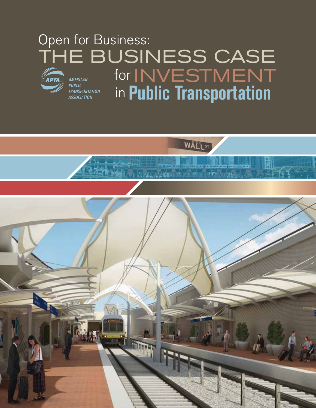# Open for Business: THE BUSINESS CASE for INVESTMENTAMERICAN PUBLIC<br>TRANSPORTATION<br>TRANSPORTATION

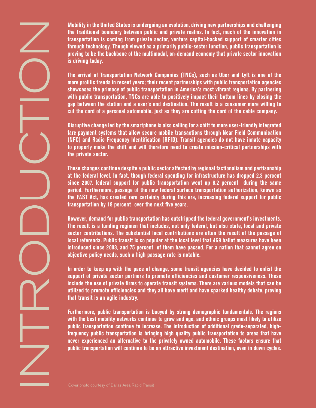Mobility in the United States is undergood and the burged through technology. The arrival of Transportation of the multi terms proving to be the backbone of the multi-<br>transportation is coming from private and the state of

**Mobility in the United States is undergoing an evolution, driving new partnerships and challenging the traditional boundary between public and private realms. In fact, much of the innovation in transportation is coming from private sector, venture capital-backed support of smarter cities through technology. Though viewed as a primarily public-sector function, public transportation is proving to be the backbone of the multimodal, on-demand economy that private sector innovation is driving today.** 

**The arrival of Transportation Network Companies (TNCs), such as Uber and Lyft is one of the more prolific trends in recent years; their recent partnerships with public transportation agencies showcases the primacy of public transportation in America's most vibrant regions. By partnering with public transportation, TNCs are able to positively impact their bottom lines by closing the gap between the station and a user's end destination. The result is a consumer more willing to cut the cord of a personal automobile, just as they are cutting the cord of the cable company.** 

**Disruptive change led by the smartphone is also calling for a shift to more user-friendly integrated fare payment systems that allow secure mobile transactions through Near Field Communication (NFC) and Radio-Frequency Identification (RFID). Transit agencies do not have innate capacity to properly make the shift and will therefore need to create mission-critical partnerships with the private sector.** 

**These changes continue despite a public sector affected by regional factionalism and partisanship at the federal level. In fact, though federal spending for infrastructure has dropped 2.3 percent since 2007, federal support for public transportation went up 8.2 percent during the same period. Furthermore, passage of the new federal surface transportation authorization, known as the FAST Act, has created rare certainty during this era, increasing federal support for public transportation by 18 percent over the next five years.** 

**However, demand for public transportation has outstripped the federal government's investments. The result is a funding regimen that includes, not only federal, but also state, local and private sector contributions. The substantial local contributions are often the result of the passage of local referenda. Public transit is so popular at the local level that 469 ballot measures have been introduced since 2003, and 75 percent of them have passed. For a nation that cannot agree on objective policy needs, such a high passage rate is notable.** 

**In order to keep up with the pace of change, some transit agencies have decided to enlist the support of private sector partners to promote efficiencies and customer responsiveness. These include the use of private firms to operate transit systems. There are various models that can be utilized to promote efficiencies and they all have merit and have sparked healthy debate, proving that transit is an agile industry.** 

**Furthermore, public transportation is buoyed by strong demographic fundamentals. The regions with the best mobility networks continue to grow and age, and ethnic groups most likely to utilize public transportation continue to increase. The introduction of additional grade-separated, highfrequency public transportation is bringing high quality public transportation to areas that have never experienced an alternative to the privately owned automobile. These factors ensure that public transportation will continue to be an attractive investment destination, even in down cycles.**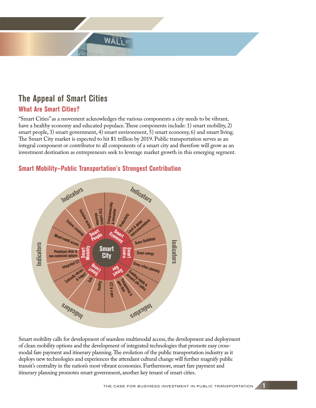# **The Appeal of Smart Cities**

#### **What Are Smart Cities?**

"Smart Cities" as a movement acknowledges the various components a city needs to be vibrant, have a healthy economy and educated populace. These components include: 1) smart mobility, 2) smart people, 3) smart government, 4) smart environment, 5) smart economy, 6) and smart living. The Smart City market is expected to hit \$1 trillion by 2019. Public transportation serves as an integral component or contributor to all components of a smart city and therefore will grow as an investment destination as entrepreneurs seek to leverage market growth in this emerging segment.

WALT

#### **Smart Mobility—Public Transportation's Strongest Contribution**



Smart mobility calls for development of seamless multimodal access, the development and deployment of clean mobility options and the development of integrated technologies that promote easy crossmodal fare payment and itinerary planning. The evolution of the public transportation industry as it deploys new technologies and experiences the attendant cultural change will further magnify public transit's centrality in the nation's most vibrant economies. Furthermore, smart fare payment and itinerary planning promotes smart government, another key tenant of smart cities.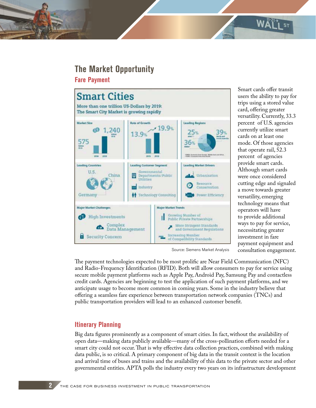## **The Market Opportunity**

**Fare Payment**



Smart cards offer transit users the ability to pay for trips using a stored value card, offering greater versatility. Currently, 33.3 percent of U.S. agencies currently utilize smart cards on at least one mode. Of those agencies that operate rail, 52.3 percent of agencies provide smart cards. Although smart cards were once considered cutting edge and signaled a move towards greater versatility, emerging technology means that operators will have to provide additional ways to pay for service, necessitating greater investment in fare payment equipment and consultation engagement.

 $W\mathbf{A}^{\mathbf{1}\mathbf{3}}$ 

Source: Siemens Market Analysis

The payment technologies expected to be most prolific are Near Field Communication (NFC) and Radio-Frequency Identification (RFID). Both will allow consumers to pay for service using secure mobile payment platforms such as Apple Pay, Android Pay, Samsung Pay and contactless credit cards. Agencies are beginning to test the application of such payment platforms, and we anticipate usage to become more common in coming years. Some in the industry believe that offering a seamless fare experience between transportation network companies (TNCs) and public transportation providers will lead to an enhanced customer benefit.

#### **Itinerary Planning**

Big data figures prominently as a component of smart cities. In fact, without the availability of open data—making data publicly available—many of the cross-pollination efforts needed for a smart city could not occur. That is why effective data collection practices, combined with making data public, is so critical. A primary component of big data in the transit context is the location and arrival time of buses and trains and the availability of this data to the private sector and other governmental entities. APTA polls the industry every two years on its infrastructure development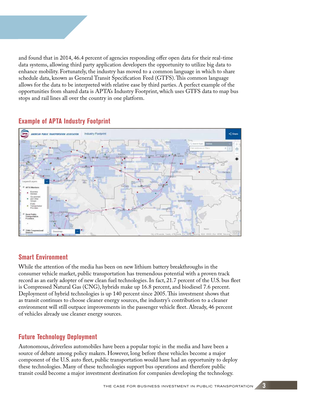and found that in 2014, 46.4 percent of agencies responding offer open data for their real-time data systems, allowing third party application developers the opportunity to utilize big data to enhance mobility. Fortunately, the industry has moved to a common language in which to share schedule data, known as General Transit Specification Feed (GTFS). This common language allows for the data to be interpreted with relative ease by third parties. A perfect example of the opportunities from shared data is APTA's Industry Footprint, which uses GTFS data to map bus stops and rail lines all over the country in one platform.



### **Example of APTA Industry Footprint**

#### **Smart Environment**

While the attention of the media has been on new lithium battery breakthroughs in the consumer vehicle market, public transportation has tremendous potential with a proven track record as an early adopter of new clean fuel technologies. In fact, 21.7 percent of the U.S. bus fleet is Compressed Natural Gas (CNG), hybrids make up 16.8 percent, and biodiesel 7.6 percent. Deployment of hybrid technologies is up 140 percent since 2005. This investment shows that as transit continues to choose cleaner energy sources, the industry's contribution to a cleaner environment will still outpace improvements in the passenger vehicle fleet. Already, 46 percent of vehicles already use cleaner energy sources.

### **Future Technology Deployment**

Autonomous, driverless automobiles have been a popular topic in the media and have been a source of debate among policy makers. However, long before these vehicles become a major component of the U.S. auto fleet, public transportation would have had an opportunity to deploy these technologies. Many of these technologies support bus operations and therefore public transit could become a major investment destination for companies developing the technology.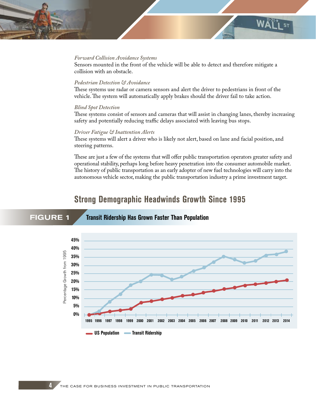#### *Forward Collision Avoidance Systems*

Sensors mounted in the front of the vehicle will be able to detect and therefore mitigate a collision with an obstacle.

W٨

#### *Pedestrian Detection & Avoidance*

These systems use radar or camera sensors and alert the driver to pedestrians in front of the vehicle. The system will automatically apply brakes should the driver fail to take action.

#### *Blind Spot Detection*

These systems consist of sensors and cameras that will assist in changing lanes, thereby increasing safety and potentially reducing traffic delays associated with leaving bus stops.

#### *Driver Fatigue & Inattention Alerts*

FIGURE 1 **Transit Ridership Has Grown Faster Than Population**

These systems will alert a driver who is likely not alert, based on lane and facial position, and steering patterns.

These are just a few of the systems that will offer public transportation operators greater safety and operational stability, perhaps long before heavy penetration into the consumer automobile market. The history of public transportation as an early adopter of new fuel technologies will carry into the autonomous vehicle sector, making the public transportation industry a prime investment target.

### **Strong Demographic Headwinds Growth Since 1995**

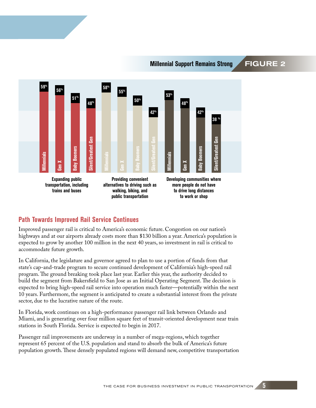#### **Millennial Support Remains Strong FIGURE 2**



### **Path Towards Improved Rail Service Continues**

Improved passenger rail is critical to America's economic future. Congestion on our nation's highways and at our airports already costs more than \$130 billion a year. America's population is expected to grow by another 100 million in the next 40 years, so investment in rail is critical to accommodate future growth.

In California, the legislature and governor agreed to plan to use a portion of funds from that state's cap-and-trade program to secure continued development of California's high-speed rail program. The ground breaking took place last year. Earlier this year, the authority decided to build the segment from Bakersfield to San Jose as an Initial Operating Segment. The decision is expected to bring high-speed rail service into operation much faster—potentially within the next 10 years. Furthermore, the segment is anticipated to create a substantial interest from the private sector, due to the lucrative nature of the route.

In Florida, work continues on a high-performance passenger rail link between Orlando and Miami, and is generating over four million square feet of transit-oriented development near train stations in South Florida. Service is expected to begin in 2017.

Passenger rail improvements are underway in a number of mega-regions, which together represent 65 percent of the U.S. population and stand to absorb the bulk of America's future population growth. These densely populated regions will demand new, competitive transportation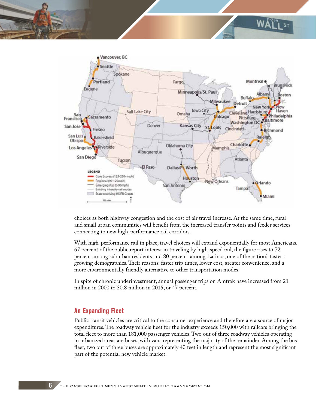

 $W\Delta_1^{1-21}$ 

choices as both highway congestion and the cost of air travel increase. At the same time, rural and small urban communities will benefit from the increased transfer points and feeder services connecting to new high-performance rail corridors.

With high-performance rail in place, travel choices will expand exponentially for most Americans. 67 percent of the public report interest in traveling by high-speed rail, the figure rises to 72 percent among suburban residents and 80 percent among Latinos, one of the nation's fastest growing demographics. Their reasons: faster trip times, lower cost, greater convenience, and a more environmentally friendly alternative to other transportation modes.

In spite of chronic underinvestment, annual passenger trips on Amtrak have increased from 21 million in 2000 to 30.8 million in 2015, or 47 percent.

#### **An Expanding Fleet**

Public transit vehicles are critical to the consumer experience and therefore are a source of major expenditures. The roadway vehicle fleet for the industry exceeds 150,000 with railcars bringing the total fleet to more than 181,000 passenger vehicles. Two out of three roadway vehicles operating in urbanized areas are buses, with vans representing the majority of the remainder. Among the bus fleet, two out of three buses are approximately 40 feet in length and represent the most significant part of the potential new vehicle market.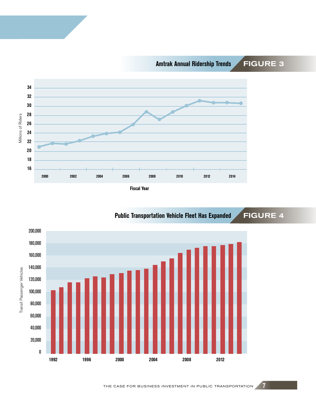**Amtrak Annual Ridership Trends** FIGURE 3



**Fiscal Year**



#### THE CASE FOR BUSINESS INVESTMENT IN PUBLIC TRANSPORTATION **7**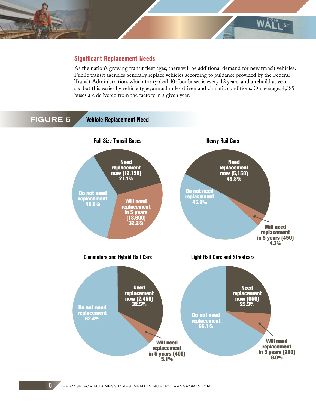

#### **Significant Replacement Needs**

As the nation's growing transit fleet ages, there will be additional demand for new transit vehicles. Public transit agencies generally replace vehicles according to guidance provided by the Federal Transit Administration, which for typical 40-foot buses is every 12 years, and a rebuild at year six, but this varies by vehicle type, annual miles driven and climatic conditions. On average, 4,385 buses are delivered from the factory in a given year.

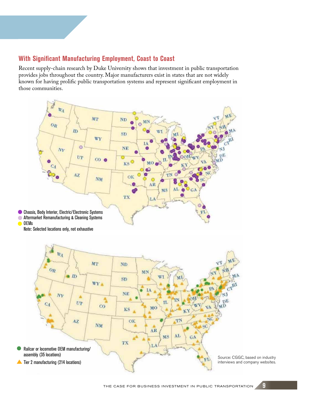#### **With Significant Manufacturing Employment, Coast to Coast**

Recent supply-chain research by Duke University shows that investment in public transportation provides jobs throughout the country. Major manufacturers exist in states that are not widely known for having prolific public transportation systems and represent significant employment in those communities.

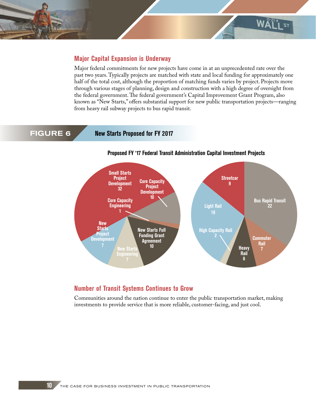

#### **Major Capital Expansion is Underway**

Major federal commitments for new projects have come in at an unprecedented rate over the past two years. Typically projects are matched with state and local funding for approximately one half of the total cost, although the proportion of matching funds varies by project. Projects move through various stages of planning, design and construction with a high degree of oversight from the federal government. The federal government's Capital Improvement Grant Program, also known as "New Starts," offers substantial support for new public transportation projects—ranging from heavy rail subway projects to bus rapid transit.

FIGURE 6 **New Starts Proposed for FY 2017**



#### **Proposed FY '17 Federal Transit Administration Capital Investment Projects**

#### **Number of Transit Systems Continues to Grow**

Communities around the nation continue to enter the public transportation market, making investments to provide service that is more reliable, customer-facing, and just cool.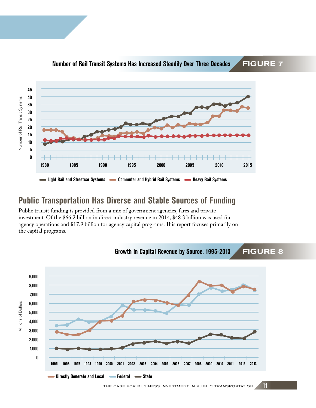

#### **Number of Rail Transit Systems Has Increased Steadily Over Three Decades <br>
FIGURE 7**

## **Public Transportation Has Diverse and Stable Sources of Funding**

Public transit funding is provided from a mix of government agencies, fares and private investment. Of the \$66.2 billion in direct industry revenue in 2014, \$48.3 billion was used for agency operations and \$17.9 billion for agency capital programs. This report focuses primarily on the capital programs.

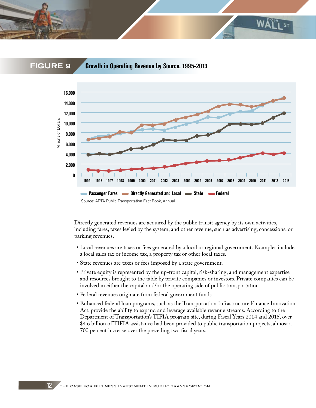

FIGURE 9 **Growth in Operating Revenue by Source, 1995-2013**



Directly generated revenues are acquired by the public transit agency by its own activities, including fares, taxes levied by the system, and other revenue, such as advertising, concessions, or parking revenues.

- Local revenues are taxes or fees generated by a local or regional government. Examples include a local sales tax or income tax, a property tax or other local taxes.
- State revenues are taxes or fees imposed by a state government.
- Private equity is represented by the up-front capital, risk-sharing, and management expertise and resources brought to the table by private companies or investors. Private companies can be involved in either the capital and/or the operating side of public transportation.
- Federal revenues originate from federal government funds.
- Enhanced federal loan programs, such as the Transportation Infrastructure Finance Innovation Act, provide the ability to expand and leverage available revenue streams. According to the Department of Transportation's TIFIA program site, during Fiscal Years 2014 and 2015, over \$4.6 billion of TIFIA assistance had been provided to public transportation projects, almost a 700 percent increase over the preceding two fiscal years.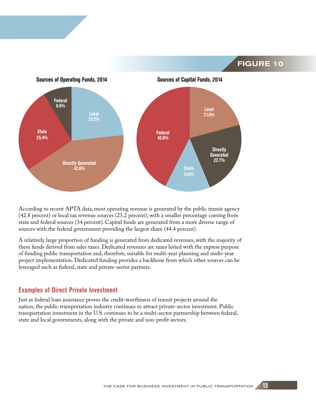FIGURE 10



According to recent APTA data, most operating revenue is generated by the public transit agency (42.8 percent) or local tax revenue sources (23.2 percent), with a smaller percentage coming from state and federal sources (34 percent). Capital funds are generated from a more diverse range of sources with the federal government providing the largest share (44.4 percent).

A relatively large proportion of funding is generated from dedicated revenues, with the majority of these funds derived from sales taxes. Dedicated revenues are taxes levied with the express purpose of funding public transportation and, therefore, suitable for multi-year planning and multi-year project implementation. Dedicated funding provides a backbone from which other sources can be leveraged such as federal, state and private-sector partners.

#### **Examples of Direct Private Investment**

Just as federal loan assistance proves the credit-worthiness of transit projects around the nation, the public transportation industry continues to attract private-sector investment. Public transportation investment in the U.S. continues to be a multi-sector partnership between federal, state and local governments, along with the private and non-profit sectors.

THE CASE FOR BUSINESS INVESTMENT IN PUBLIC TRANSPORTATION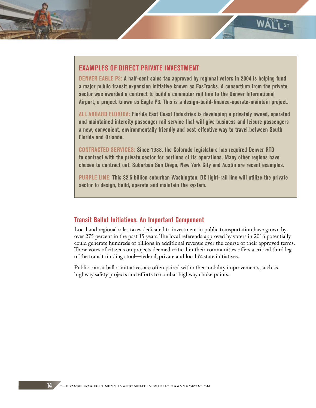#### **EXAMPLES OF DIRECT PRIVATE INVESTMENT**

**DENVER EAGLE P3: A half-cent sales tax approved by regional voters in 2004 is helping fund a major public transit expansion initiative known as FasTracks. A consortium from the private sector was awarded a contract to build a commuter rail line to the Denver International Airport, a project known as Eagle P3. This is a design-build-finance-operate-maintain project.** 

**WW** 

**ALL ABOARD FLORIDA: Florida East Coast Industries is developing a privately owned, operated and maintained intercity passenger rail service that will give business and leisure passengers a new, convenient, environmentally friendly and cost-effective way to travel between South Florida and Orlando.**

**CONTRACTED SERVICES: Since 1988, the Colorado legislature has required Denver RTD to contract with the private sector for portions of its operations. Many other regions have chosen to contract out. Suburban San Diego, New York City and Austin are recent examples.**

**PURPLE LINE: This \$2.5 billion suburban Washington, DC light-rail line will utilize the private sector to design, build, operate and maintain the system.** 

#### **Transit Ballot Initiatives, An Important Component**

Local and regional sales taxes dedicated to investment in public transportation have grown by over 275 percent in the past 15 years. The local referenda approved by voters in 2016 potentially could generate hundreds of billions in additional revenue over the course of their approved terms. These votes of citizens on projects deemed critical in their communities offers a critical third leg of the transit funding stool—federal, private and local & state initiatives.

Public transit ballot initiatives are often paired with other mobility improvements, such as highway safety projects and efforts to combat highway choke points.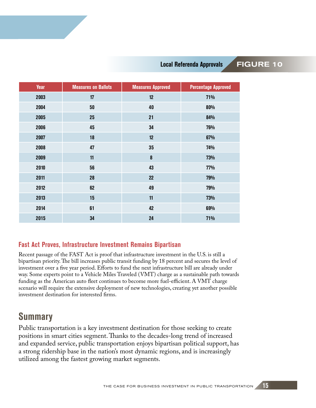#### Local Referenda Approvals **FIGURE 10**

| <b>Year</b> | <b>Measures on Ballots</b> | <b>Measures Approved</b> | <b>Percentage Approved</b> |
|-------------|----------------------------|--------------------------|----------------------------|
| 2003        | 17                         | 12                       | 71%                        |
| 2004        | 50                         | 40                       | 80%                        |
| 2005        | 25                         | 21                       | 84%                        |
| 2006        | 45                         | 34                       | 76%                        |
| 2007        | 18                         | 12                       | 67%                        |
| 2008        | 47                         | $35\,$                   | 74%                        |
| 2009        | 11                         | 8                        | 73%                        |
| 2010        | 56                         | 43                       | 77%                        |
| 2011        | 28                         | 22                       | 79%                        |
| 2012        | 62                         | 49                       | 79%                        |
| 2013        | 15                         | 11                       | 73%                        |
| 2014        | 61                         | 42                       | 69%                        |
| 2015        | 34                         | 24                       | 71%                        |

### **Fast Act Proves, Infrastructure Investment Remains Bipartisan**

Recent passage of the FAST Act is proof that infrastructure investment in the U.S. is still a bipartisan priority. The bill increases public transit funding by 18 percent and secures the level of investment over a five year period. Efforts to fund the next infrastructure bill are already under way. Some experts point to a Vehicle Miles Traveled (VMT) charge as a sustainable path towards funding as the American auto fleet continues to become more fuel-efficient. A VMT charge scenario will require the extensive deployment of new technologies, creating yet another possible investment destination for interested firms.

## **Summary**

Public transportation is a key investment destination for those seeking to create positions in smart cities segment. Thanks to the decades-long trend of increased and expanded service, public transportation enjoys bipartisan political support, has a strong ridership base in the nation's most dynamic regions, and is increasingly utilized among the fastest growing market segments.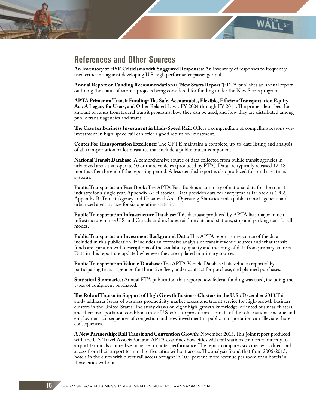

**An Inventory of HSR Criticisms with Suggested Responses:** An inventory of responses to frequently used criticisms against developing U.S. high performance passenger rail.

**WAT** 

**Annual Report on Funding Recommendations ("New Starts Report"):** FTA publishes an annual report outlining the status of various projects being considered for funding under the New Starts program.

**APTA Primer on Transit Funding: The Safe, Accountable, Flexible, Efficient Transportation Equity Act: A Legacy for Users,** and Other Related Laws, FY 2004 through FY 2011. The primer describes the amount of funds from federal transit programs, how they can be used, and how they are distributed among public transit agencies and states.

**The Case for Business Investment in High-Speed Rail:** Offers a compendium of compelling reasons why investment in high-speed rail can offer a good return on investment.

**Center For Transportation Excellence:** The CFTE maintains a complete, up-to-date listing and analysis of all transportation ballot measures that include a public transit component.

**National Transit Database:** A comprehensive source of data collected from public transit agencies in urbanized areas that operate 10 or more vehicles (produced by FTA). Data are typically released 12-18 months after the end of the reporting period. A less detailed report is also produced for rural area transit systems.

**Public Transportation Fact Book:** The APTA Fact Book is a summary of national data for the transit industry for a single year. Appendix A: Historical Data provides data for every year as far back as 1902. Appendix B: Transit Agency and Urbanized Area Operating Statistics ranks public transit agencies and urbanized areas by size for six operating statistics.

**Public Transportation Infrastructure Database:** This database produced by APTA lists major transit infrastructure in the U.S. and Canada and includes rail line data and stations, stop and parking data for all modes.

**Public Transportation Investment Background Data:** This APTA report is the source of the data included in this publication. It includes an extensive analysis of transit revenue sources and what transit funds are spent on with descriptions of the availability, quality and meaning of data from primary sources. Data in this report are updated whenever they are updated in primary sources.

**Public Transportation Vehicle Database:** The APTA Vehicle Database lists vehicles reported by participating transit agencies for the active fleet, under contract for purchase, and planned purchases.

**Statistical Summaries:** Annual FTA publication that reports how federal funding was used, including the types of equipment purchased.

**The Role of Transit in Support of High Growth Business Clusters in the U.S.:** December 2013.This study addresses issues of business productivity, market access and transit service for high-growth business clusters in the United States. The study draws on eight high-growth knowledge-oriented business clusters and their transportation conditions in six U.S. cities to provide an estimate of the total national income and employment consequences of congestion and how investment in public transportation can alleviate those consequences.

**A New Partnership: Rail Transit and Convention Growth:** November 2013.This joint report produced with the U.S. Travel Association and APTA examines how cities with rail stations connected directly to airport terminals can realize increases in hotel performance. The report compares six cities with direct rail access from their airport terminal to five cities without access. The analysis found that from 2006-2013, hotels in the cities with direct rail access brought in 10.9 percent more revenue per room than hotels in those cities without.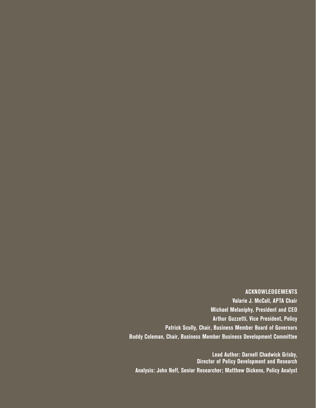#### **ACKNOWLEDGEMENTS**

**Valarie J. McCall, APTA Chair Michael Melaniphy, President and CEO Arthur Guzzetti, Vice President, Policy Patrick Scully, Chair, Business Member Board of Governors Buddy Coleman, Chair, Business Member Business Development Committee**

**Lead Author: Darnell Chadwick Grisby, Director of Policy Development and Research Analysis: John Neff, Senior Researcher; Matthew Dickens, Policy Analyst**